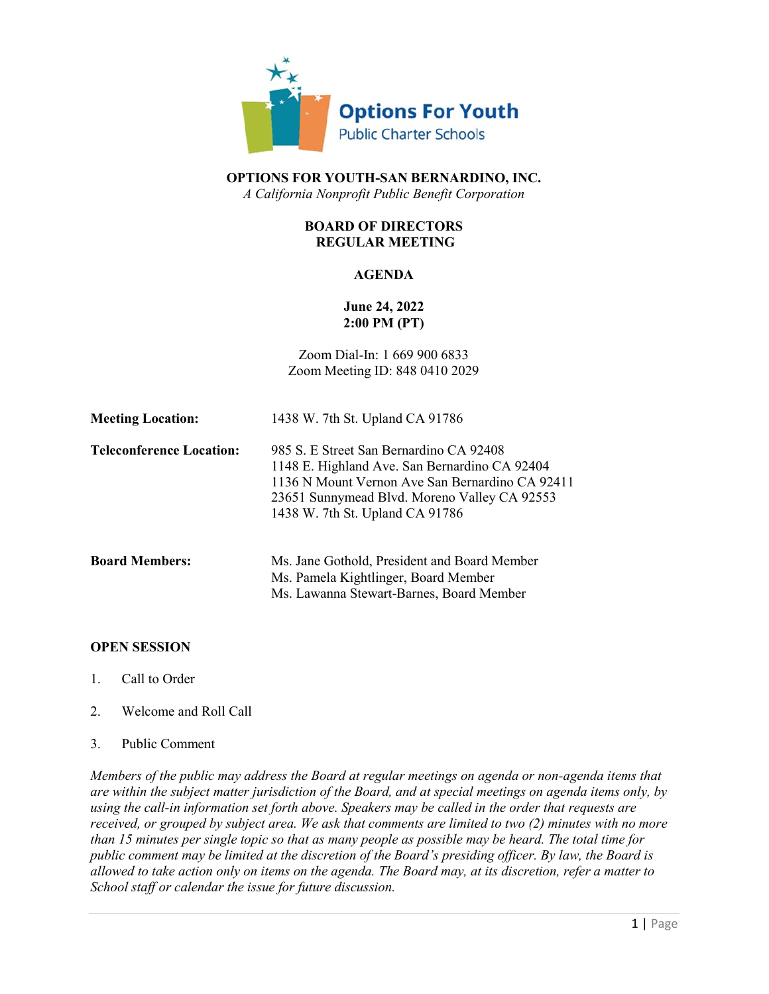

**OPTIONS FOR YOUTH-SAN BERNARDINO, INC.** *A California Nonprofit Public Benefit Corporation*

# **BOARD OF DIRECTORS REGULAR MEETING**

## **AGENDA**

## **June 24, 2022 2:00 PM (PT)**

Zoom Dial-In: 1 669 900 6833 Zoom Meeting ID: 848 0410 2029

| <b>Meeting Location:</b>        | 1438 W. 7th St. Upland CA 91786                                                                                                                                                                                                |
|---------------------------------|--------------------------------------------------------------------------------------------------------------------------------------------------------------------------------------------------------------------------------|
| <b>Teleconference Location:</b> | 985 S. E Street San Bernardino CA 92408<br>1148 E. Highland Ave. San Bernardino CA 92404<br>1136 N Mount Vernon Ave San Bernardino CA 92411<br>23651 Sunnymead Blvd. Moreno Valley CA 92553<br>1438 W. 7th St. Upland CA 91786 |
| <b>Board Members:</b>           | Ms. Jane Gothold, President and Board Member<br>Ms. Pamela Kightlinger, Board Member<br>Ms. Lawanna Stewart-Barnes, Board Member                                                                                               |

## **OPEN SESSION**

- 1. Call to Order
- 2. Welcome and Roll Call
- 3. Public Comment

*Members of the public may address the Board at regular meetings on agenda or non-agenda items that are within the subject matter jurisdiction of the Board, and at special meetings on agenda items only, by using the call-in information set forth above. Speakers may be called in the order that requests are received, or grouped by subject area. We ask that comments are limited to two (2) minutes with no more than 15 minutes per single topic so that as many people as possible may be heard. The total time for public comment may be limited at the discretion of the Board's presiding officer. By law, the Board is allowed to take action only on items on the agenda. The Board may, at its discretion, refer a matter to School staff or calendar the issue for future discussion.*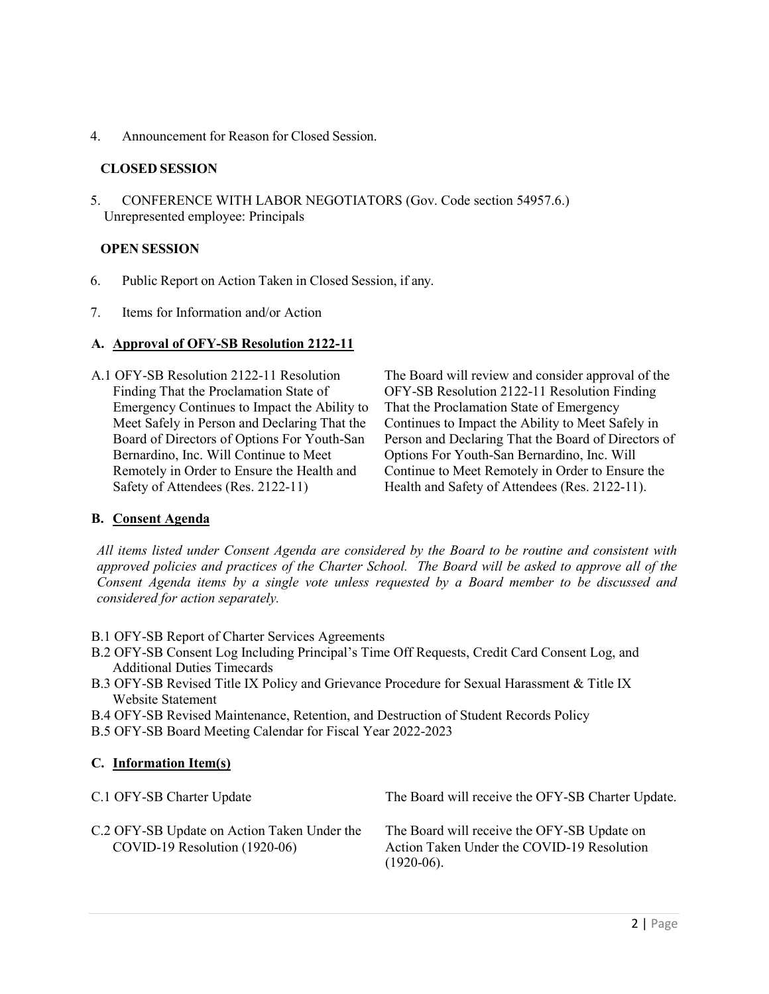4. Announcement for Reason for Closed Session.

## **CLOSED SESSION**

5. CONFERENCE WITH LABOR NEGOTIATORS (Gov. Code section 54957.6.) Unrepresented employee: Principals

## **OPEN SESSION**

- 6. Public Report on Action Taken in Closed Session, if any.
- 7. Items for Information and/or Action

#### **A. Approval of OFY-SB Resolution 2122-11**

A.1 OFY-SB Resolution 2122-11 Resolution Finding That the Proclamation State of Emergency Continues to Impact the Ability to Meet Safely in Person and Declaring That the Board of Directors of Options For Youth-San Bernardino, Inc. Will Continue to Meet Remotely in Order to Ensure the Health and Safety of Attendees (Res. 2122-11)

The Board will review and consider approval of the OFY-SB Resolution 2122-11 Resolution Finding That the Proclamation State of Emergency Continues to Impact the Ability to Meet Safely in Person and Declaring That the Board of Directors of Options For Youth-San Bernardino, Inc. Will Continue to Meet Remotely in Order to Ensure the Health and Safety of Attendees (Res. 2122-11).

## **B. Consent Agenda**

*All items listed under Consent Agenda are considered by the Board to be routine and consistent with approved policies and practices of the Charter School. The Board will be asked to approve all of the Consent Agenda items by a single vote unless requested by a Board member to be discussed and considered for action separately.*

- B.1 OFY-SB Report of Charter Services Agreements
- B.2 OFY-SB Consent Log Including Principal's Time Off Requests, Credit Card Consent Log, and Additional Duties Timecards
- B.3 OFY-SB Revised Title IX Policy and Grievance Procedure for Sexual Harassment & Title IX Website Statement
- B.4 OFY-SB Revised Maintenance, Retention, and Destruction of Student Records Policy
- B.5 OFY-SB Board Meeting Calendar for Fiscal Year 2022-2023

## **C. Information Item(s)**

| C.1 OFY-SB Charter Update                                                      | The Board will receive the OFY-SB Charter Update.                                                         |
|--------------------------------------------------------------------------------|-----------------------------------------------------------------------------------------------------------|
| C.2 OFY-SB Update on Action Taken Under the<br>$COVID-19$ Resolution (1920-06) | The Board will receive the OFY-SB Update on<br>Action Taken Under the COVID-19 Resolution<br>$(1920-06).$ |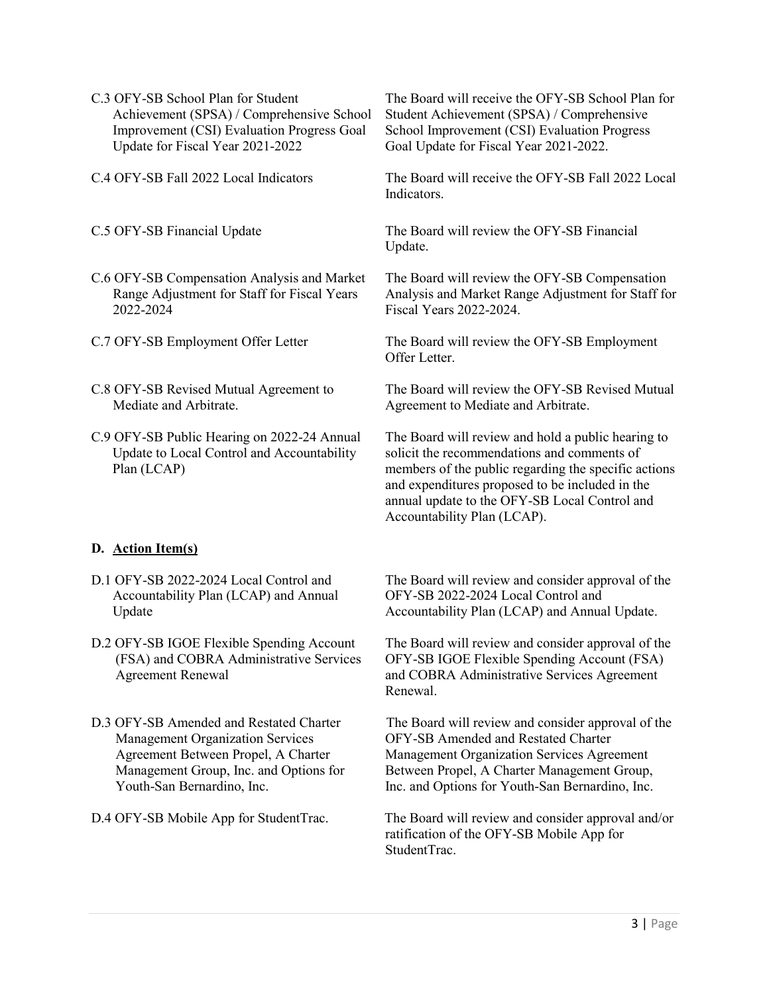- C.3 OFY-SB School Plan for Student Achievement (SPSA) / Comprehensive School Improvement (CSI) Evaluation Progress Goal Update for Fiscal Year 2021-2022
- 

- C.6 OFY-SB Compensation Analysis and Market Range Adjustment for Staff for Fiscal Years 2022-2024
- 
- C.8 OFY-SB Revised Mutual Agreement to Mediate and Arbitrate.
- C.9 OFY-SB Public Hearing on 2022-24 Annual Update to Local Control and Accountability Plan (LCAP)

The Board will receive the OFY-SB School Plan for Student Achievement (SPSA) / Comprehensive School Improvement (CSI) Evaluation Progress Goal Update for Fiscal Year 2021-2022.

C.4 OFY-SB Fall 2022 Local Indicators The Board will receive the OFY-SB Fall 2022 Local Indicators.

C.5 OFY-SB Financial Update The Board will review the OFY-SB Financial Update.

> The Board will review the OFY-SB Compensation Analysis and Market Range Adjustment for Staff for Fiscal Years 2022-2024.

C.7 OFY-SB Employment Offer Letter The Board will review the OFY-SB Employment Offer Letter.

> The Board will review the OFY-SB Revised Mutual Agreement to Mediate and Arbitrate.

> The Board will review and hold a public hearing to solicit the recommendations and comments of members of the public regarding the specific actions and expenditures proposed to be included in the annual update to the OFY-SB Local Control and Accountability Plan (LCAP).

## **D. Action Item(s)**

- D.1 OFY-SB 2022-2024 Local Control and Accountability Plan (LCAP) and Annual Update
- D.2 OFY-SB IGOE Flexible Spending Account (FSA) and COBRA Administrative Services Agreement Renewal
- D.3 OFY-SB Amended and Restated Charter Management Organization Services Agreement Between Propel, A Charter Management Group, Inc. and Options for Youth-San Bernardino, Inc.

The Board will review and consider approval of the OFY-SB 2022-2024 Local Control and Accountability Plan (LCAP) and Annual Update.

The Board will review and consider approval of the OFY-SB IGOE Flexible Spending Account (FSA) and COBRA Administrative Services Agreement Renewal.

The Board will review and consider approval of the OFY-SB Amended and Restated Charter Management Organization Services Agreement Between Propel, A Charter Management Group, Inc. and Options for Youth-San Bernardino, Inc.

D.4 OFY-SB Mobile App for StudentTrac. The Board will review and consider approval and/or ratification of the OFY-SB Mobile App for StudentTrac.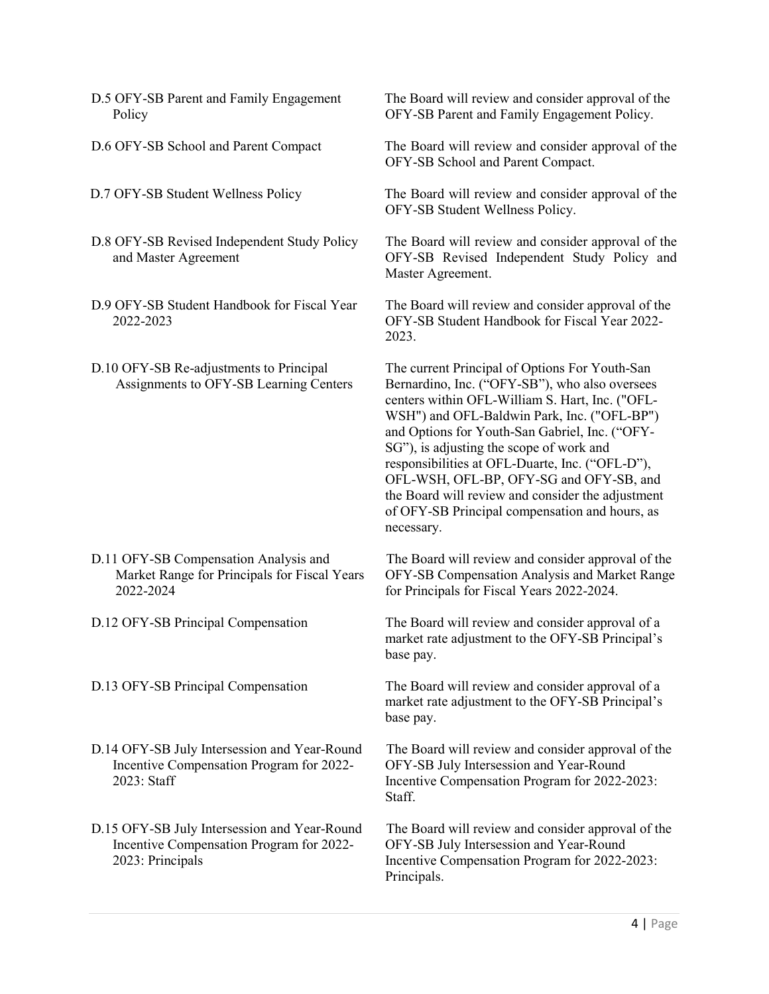- D.5 OFY-SB Parent and Family Engagement **Policy**
- 
- 
- D.8 OFY-SB Revised Independent Study Policy and Master Agreement
- D.9 OFY-SB Student Handbook for Fiscal Year 2022-2023
- D.10 OFY-SB Re-adjustments to Principal Assignments to OFY-SB Learning Centers

- D.11 OFY-SB Compensation Analysis and Market Range for Principals for Fiscal Years 2022-2024
- 
- 
- D.14 OFY-SB July Intersession and Year-Round Incentive Compensation Program for 2022- 2023: Staff
- D.15 OFY-SB July Intersession and Year-Round Incentive Compensation Program for 2022- 2023: Principals

The Board will review and consider approval of the OFY-SB Parent and Family Engagement Policy.

D.6 OFY-SB School and Parent Compact The Board will review and consider approval of the OFY-SB School and Parent Compact.

D.7 OFY-SB Student Wellness Policy The Board will review and consider approval of the OFY-SB Student Wellness Policy.

> The Board will review and consider approval of the OFY-SB Revised Independent Study Policy and Master Agreement.

The Board will review and consider approval of the OFY-SB Student Handbook for Fiscal Year 2022- 2023.

The current Principal of Options For Youth-San Bernardino, Inc. ("OFY-SB"), who also oversees centers within OFL-William S. Hart, Inc. ("OFL-WSH") and OFL-Baldwin Park, Inc. ("OFL-BP") and Options for Youth-San Gabriel, Inc. ("OFY-SG"), is adjusting the scope of work and responsibilities at OFL-Duarte, Inc. ("OFL-D"), OFL-WSH, OFL-BP, OFY-SG and OFY-SB, and the Board will review and consider the adjustment of OFY-SB Principal compensation and hours, as necessary.

The Board will review and consider approval of the OFY-SB Compensation Analysis and Market Range for Principals for Fiscal Years 2022-2024.

D.12 OFY-SB Principal Compensation The Board will review and consider approval of a market rate adjustment to the OFY-SB Principal's base pay.

D.13 OFY-SB Principal Compensation The Board will review and consider approval of a market rate adjustment to the OFY-SB Principal's base pay.

> The Board will review and consider approval of the OFY-SB July Intersession and Year-Round Incentive Compensation Program for 2022-2023: Staff.

> The Board will review and consider approval of the OFY-SB July Intersession and Year-Round Incentive Compensation Program for 2022-2023: Principals.